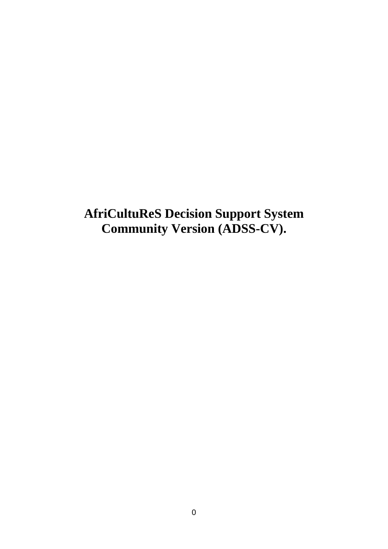**AfriCultuReS Decision Support System Community Version (ADSS-CV).**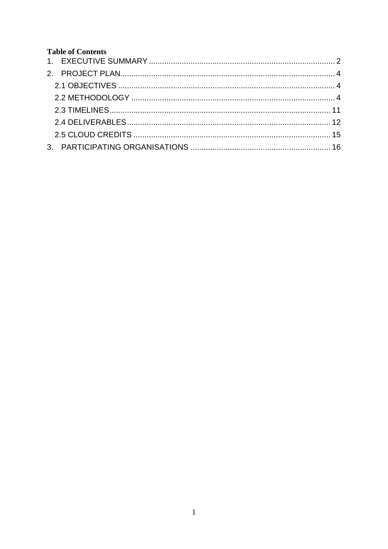# **Table of Contents**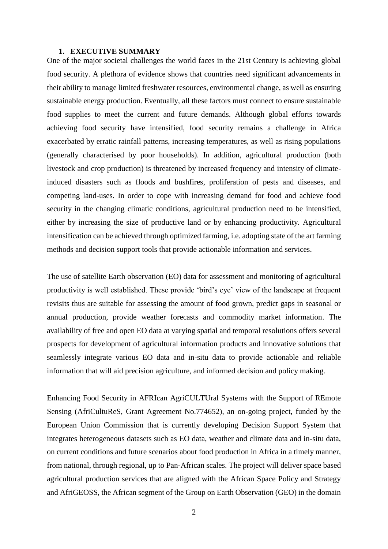#### **1. EXECUTIVE SUMMARY**

<span id="page-2-0"></span>One of the major societal challenges the world faces in the 21st Century is achieving global food security. A plethora of evidence shows that countries need significant advancements in their ability to manage limited freshwater resources, environmental change, as well as ensuring sustainable energy production. Eventually, all these factors must connect to ensure sustainable food supplies to meet the current and future demands. Although global efforts towards achieving food security have intensified, food security remains a challenge in Africa exacerbated by erratic rainfall patterns, increasing temperatures, as well as rising populations (generally characterised by poor households). In addition, agricultural production (both livestock and crop production) is threatened by increased frequency and intensity of climateinduced disasters such as floods and bushfires, proliferation of pests and diseases, and competing land-uses. In order to cope with increasing demand for food and achieve food security in the changing climatic conditions, agricultural production need to be intensified, either by increasing the size of productive land or by enhancing productivity. Agricultural intensification can be achieved through optimized farming, i.e. adopting state of the art farming methods and decision support tools that provide actionable information and services.

The use of satellite Earth observation (EO) data for assessment and monitoring of agricultural productivity is well established. These provide 'bird's eye' view of the landscape at frequent revisits thus are suitable for assessing the amount of food grown, predict gaps in seasonal or annual production, provide weather forecasts and commodity market information. The availability of free and open EO data at varying spatial and temporal resolutions offers several prospects for development of agricultural information products and innovative solutions that seamlessly integrate various EO data and in-situ data to provide actionable and reliable information that will aid precision agriculture, and informed decision and policy making.

Enhancing Food Security in AFRIcan AgriCULTUral Systems with the Support of REmote Sensing (AfriCultuReS, Grant Agreement No.774652), an on-going project, funded by the European Union Commission that is currently developing Decision Support System that integrates heterogeneous datasets such as EO data, weather and climate data and in-situ data, on current conditions and future scenarios about food production in Africa in a timely manner, from national, through regional, up to Pan-African scales. The project will deliver space based agricultural production services that are aligned with the African Space Policy and Strategy and AfriGEOSS, the African segment of the Group on Earth Observation (GEO) in the domain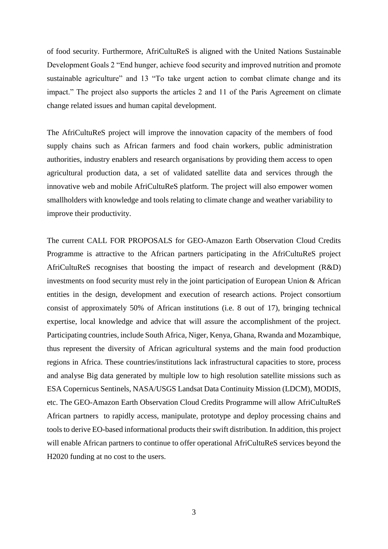of food security. Furthermore, AfriCultuReS is aligned with the United Nations Sustainable Development Goals 2 "End hunger, achieve food security and improved nutrition and promote sustainable agriculture" and 13 "To take urgent action to combat climate change and its impact." The project also supports the articles 2 and 11 of the Paris Agreement on climate change related issues and human capital development.

The AfriCultuReS project will improve the innovation capacity of the members of food supply chains such as African farmers and food chain workers, public administration authorities, industry enablers and research organisations by providing them access to open agricultural production data, a set of validated satellite data and services through the innovative web and mobile AfriCultuReS platform. The project will also empower women smallholders with knowledge and tools relating to climate change and weather variability to improve their productivity.

The current CALL FOR PROPOSALS for GEO-Amazon Earth Observation Cloud Credits Programme is attractive to the African partners participating in the AfriCultuReS project AfriCultuReS recognises that boosting the impact of research and development (R&D) investments on food security must rely in the joint participation of European Union & African entities in the design, development and execution of research actions. Project consortium consist of approximately 50% of African institutions (i.e. 8 out of 17), bringing technical expertise, local knowledge and advice that will assure the accomplishment of the project. Participating countries, include South Africa, Niger, Kenya, Ghana, Rwanda and Mozambique, thus represent the diversity of African agricultural systems and the main food production regions in Africa. These countries/institutions lack infrastructural capacities to store, process and analyse Big data generated by multiple low to high resolution satellite missions such as ESA Copernicus Sentinels, NASA/USGS Landsat Data Continuity Mission (LDCM), MODIS, etc. The GEO-Amazon Earth Observation Cloud Credits Programme will allow AfriCultuReS African partners to rapidly access, manipulate, prototype and deploy processing chains and tools to derive EO-based informational products their swift distribution. In addition, this project will enable African partners to continue to offer operational AfriCultuReS services beyond the H2020 funding at no cost to the users.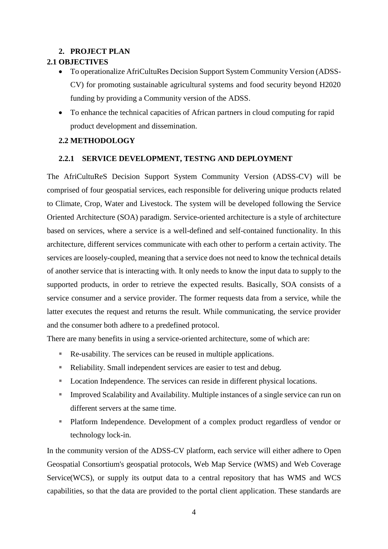## **2. PROJECT PLAN**

## <span id="page-4-1"></span><span id="page-4-0"></span>**2.1 OBJECTIVES**

- To operationalize AfriCultuRes Decision Support System Community Version (ADSS-CV) for promoting sustainable agricultural systems and food security beyond H2020 funding by providing a Community version of the ADSS.
- To enhance the technical capacities of African partners in cloud computing for rapid product development and dissemination.

## <span id="page-4-2"></span>**2.2 METHODOLOGY**

### **2.2.1 SERVICE DEVELOPMENT, TESTNG AND DEPLOYMENT**

The AfriCultuReS Decision Support System Community Version (ADSS-CV) will be comprised of four geospatial services, each responsible for delivering unique products related to Climate, Crop, Water and Livestock. The system will be developed following the Service Oriented Architecture (SOA) paradigm. Service-oriented architecture is a style of architecture based on services, where a service is a well-defined and self-contained functionality. In this architecture, different services communicate with each other to perform a certain activity. The services are loosely-coupled, meaning that a service does not need to know the technical details of another service that is interacting with. It only needs to know the input data to supply to the supported products, in order to retrieve the expected results. Basically, SOA consists of a service consumer and a service provider. The former requests data from a service, while the latter executes the request and returns the result. While communicating, the service provider and the consumer both adhere to a predefined protocol.

There are many benefits in using a service-oriented architecture, some of which are:

- Re-usability. The services can be reused in multiple applications.
- Reliability. Small independent services are easier to test and debug.
- Location Independence. The services can reside in different physical locations.
- **IMPROVED 5 Improved Scalability and Availability. Multiple instances of a single service can run on** different servers at the same time.
- Platform Independence. Development of a complex product regardless of vendor or technology lock-in.

In the community version of the ADSS-CV platform, each service will either adhere to Open Geospatial Consortium's geospatial protocols, Web Map Service (WMS) and Web Coverage Service(WCS), or supply its output data to a central repository that has WMS and WCS capabilities, so that the data are provided to the portal client application. These standards are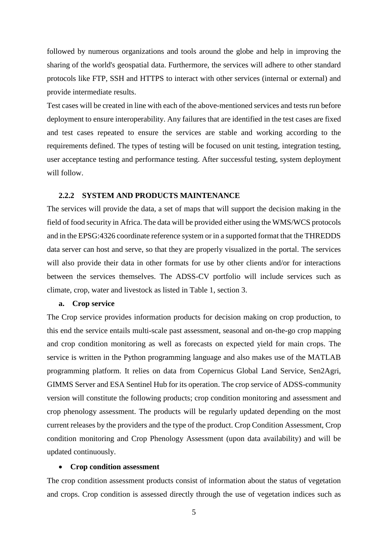followed by numerous organizations and tools around the globe and help in improving the sharing of the world's geospatial data. Furthermore, the services will adhere to other standard protocols like FTP, SSH and HTTPS to interact with other services (internal or external) and provide intermediate results.

Test cases will be created in line with each of the above-mentioned services and tests run before deployment to ensure interoperability. Any failures that are identified in the test cases are fixed and test cases repeated to ensure the services are stable and working according to the requirements defined. The types of testing will be focused on unit testing, integration testing, user acceptance testing and performance testing. After successful testing, system deployment will follow.

### **2.2.2 SYSTEM AND PRODUCTS MAINTENANCE**

The services will provide the data, a set of maps that will support the decision making in the field of food security in Africa. The data will be provided either using the WMS/WCS protocols and in the EPSG:4326 coordinate reference system or in a supported format that the THREDDS data server can host and serve, so that they are properly visualized in the portal. The services will also provide their data in other formats for use by other clients and/or for interactions between the services themselves. The ADSS-CV portfolio will include services such as climate, crop, water and livestock as listed in Table 1, section 3.

#### **a. Crop service**

The Crop service provides information products for decision making on crop production, to this end the service entails multi-scale past assessment, seasonal and on-the-go crop mapping and crop condition monitoring as well as forecasts on expected yield for main crops. The service is written in the Python programming language and also makes use of the MATLAB programming platform. It relies on data from Copernicus Global Land Service, Sen2Agri, GIMMS Server and ESA Sentinel Hub for its operation. The crop service of ADSS-community version will constitute the following products; crop condition monitoring and assessment and crop phenology assessment. The products will be regularly updated depending on the most current releases by the providers and the type of the product. Crop Condition Assessment, Crop condition monitoring and Crop Phenology Assessment (upon data availability) and will be updated continuously.

### **Crop condition assessment**

The crop condition assessment products consist of information about the status of vegetation and crops. Crop condition is assessed directly through the use of vegetation indices such as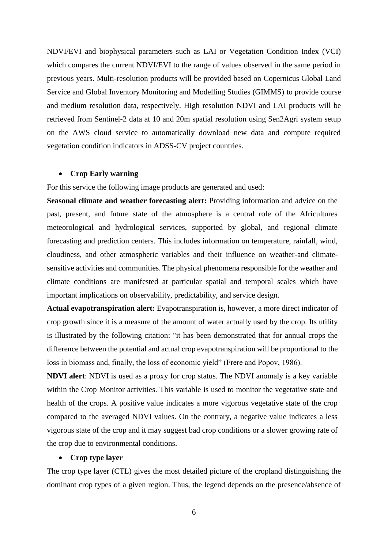NDVI/EVI and biophysical parameters such as LAI or Vegetation Condition Index (VCI) which compares the current NDVI/EVI to the range of values observed in the same period in previous years. Multi-resolution products will be provided based on Copernicus Global Land Service and Global Inventory Monitoring and Modelling Studies (GIMMS) to provide course and medium resolution data, respectively. High resolution NDVI and LAI products will be retrieved from Sentinel-2 data at 10 and 20m spatial resolution using Sen2Agri system setup on the AWS cloud service to automatically download new data and compute required vegetation condition indicators in ADSS-CV project countries.

### **Crop Early warning**

For this service the following image products are generated and used:

**Seasonal climate and weather forecasting alert:** Providing information and advice on the past, present, and future state of the atmosphere is a central role of the Africultures meteorological and hydrological services, supported by global, and regional climate forecasting and prediction centers. This includes information on temperature, rainfall, wind, cloudiness, and other atmospheric variables and their influence on weather-and climatesensitive activities and communities. The physical phenomena responsible for the weather and climate conditions are manifested at particular spatial and temporal scales which have important implications on observability, predictability, and service design.

**Actual evapotranspiration alert:** Evapotranspiration is, however, a more direct indicator of crop growth since it is a measure of the amount of water actually used by the crop. Its utility is illustrated by the following citation: "it has been demonstrated that for annual crops the difference between the potential and actual crop evapotranspiration will be proportional to the loss in biomass and, finally, the loss of economic yield" (Frere and Popov, 1986).

**NDVI alert**: NDVI is used as a proxy for crop status. The NDVI anomaly is a key variable within the Crop Monitor activities. This variable is used to monitor the vegetative state and health of the crops. A positive value indicates a more vigorous vegetative state of the crop compared to the averaged NDVI values. On the contrary, a negative value indicates a less vigorous state of the crop and it may suggest bad crop conditions or a slower growing rate of the crop due to environmental conditions.

### **Crop type layer**

The crop type layer (CTL) gives the most detailed picture of the cropland distinguishing the dominant crop types of a given region. Thus, the legend depends on the presence/absence of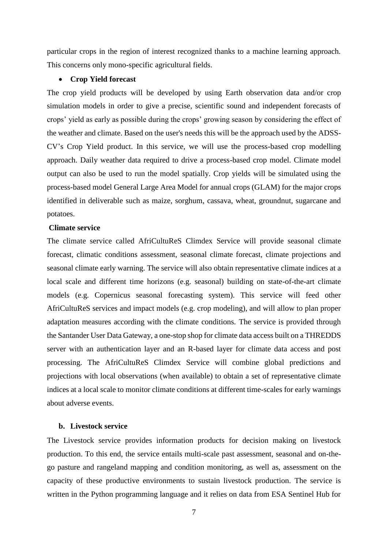particular crops in the region of interest recognized thanks to a machine learning approach. This concerns only mono-specific agricultural fields.

### **Crop Yield forecast**

The crop yield products will be developed by using Earth observation data and/or crop simulation models in order to give a precise, scientific sound and independent forecasts of crops' yield as early as possible during the crops' growing season by considering the effect of the weather and climate. Based on the user's needs this will be the approach used by the ADSS-CV's Crop Yield product. In this service, we will use the process-based crop modelling approach. Daily weather data required to drive a process-based crop model. Climate model output can also be used to run the model spatially. Crop yields will be simulated using the process-based model General Large Area Model for annual crops (GLAM) for the major crops identified in deliverable such as maize, sorghum, cassava, wheat, groundnut, sugarcane and potatoes.

### **Climate service**

The climate service called AfriCultuReS Climdex Service will provide seasonal climate forecast, climatic conditions assessment, seasonal climate forecast, climate projections and seasonal climate early warning. The service will also obtain representative climate indices at a local scale and different time horizons (e.g. seasonal) building on state-of-the-art climate models (e.g. Copernicus seasonal forecasting system). This service will feed other AfriCultuReS services and impact models (e.g. crop modeling), and will allow to plan proper adaptation measures according with the climate conditions. The service is provided through the Santander User Data Gateway, a one-stop shop for climate data access built on a THREDDS server with an authentication layer and an R-based layer for climate data access and post processing. The AfriCultuReS Climdex Service will combine global predictions and projections with local observations (when available) to obtain a set of representative climate indices at a local scale to monitor climate conditions at different time-scales for early warnings about adverse events.

### **b. Livestock service**

The Livestock service provides information products for decision making on livestock production. To this end, the service entails multi-scale past assessment, seasonal and on-thego pasture and rangeland mapping and condition monitoring, as well as, assessment on the capacity of these productive environments to sustain livestock production. The service is written in the Python programming language and it relies on data from ESA Sentinel Hub for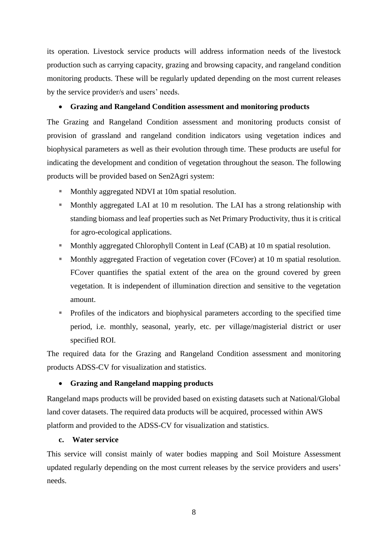its operation. Livestock service products will address information needs of the livestock production such as carrying capacity, grazing and browsing capacity, and rangeland condition monitoring products. These will be regularly updated depending on the most current releases by the service provider/s and users' needs.

## **Grazing and Rangeland Condition assessment and monitoring products**

The Grazing and Rangeland Condition assessment and monitoring products consist of provision of grassland and rangeland condition indicators using vegetation indices and biophysical parameters as well as their evolution through time. These products are useful for indicating the development and condition of vegetation throughout the season. The following products will be provided based on Sen2Agri system:

- **Monthly aggregated NDVI at 10m spatial resolution.**
- Monthly aggregated LAI at 10 m resolution. The LAI has a strong relationship with standing biomass and leaf properties such as Net Primary Productivity, thus it is critical for agro-ecological applications.
- **Monthly aggregated Chlorophyll Content in Leaf (CAB) at 10 m spatial resolution.**
- **Monthly aggregated Fraction of vegetation cover (FCover) at 10 m spatial resolution.** FCover quantifies the spatial extent of the area on the ground covered by green vegetation. It is independent of illumination direction and sensitive to the vegetation amount.
- Profiles of the indicators and biophysical parameters according to the specified time period, i.e. monthly, seasonal, yearly, etc. per village/magisterial district or user specified ROI.

The required data for the Grazing and Rangeland Condition assessment and monitoring products ADSS-CV for visualization and statistics.

## **Grazing and Rangeland mapping products**

Rangeland maps products will be provided based on existing datasets such at National/Global land cover datasets. The required data products will be acquired, processed within AWS platform and provided to the ADSS-CV for visualization and statistics.

## **c. Water service**

This service will consist mainly of water bodies mapping and Soil Moisture Assessment updated regularly depending on the most current releases by the service providers and users' needs.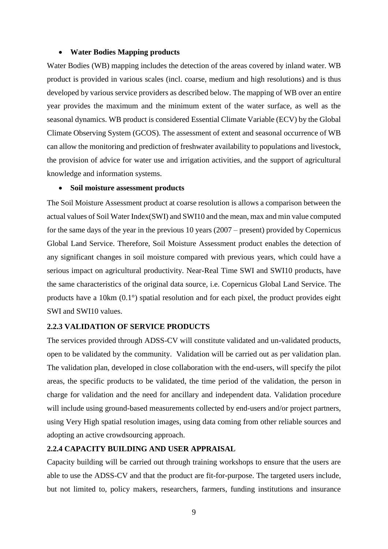### **Water Bodies Mapping products**

Water Bodies (WB) mapping includes the detection of the areas covered by inland water. WB product is provided in various scales (incl. coarse, medium and high resolutions) and is thus developed by various service providers as described below. The mapping of WB over an entire year provides the maximum and the minimum extent of the water surface, as well as the seasonal dynamics. WB product is considered Essential Climate Variable (ECV) by the Global Climate Observing System (GCOS). The assessment of extent and seasonal occurrence of WB can allow the monitoring and prediction of freshwater availability to populations and livestock, the provision of advice for water use and irrigation activities, and the support of agricultural knowledge and information systems.

### **Soil moisture assessment products**

The Soil Moisture Assessment product at coarse resolution is allows a comparison between the actual values of Soil Water Index(SWI) and SWI10 and the mean, max and min value computed for the same days of the year in the previous 10 years (2007 – present) provided by Copernicus Global Land Service. Therefore, Soil Moisture Assessment product enables the detection of any significant changes in soil moisture compared with previous years, which could have a serious impact on agricultural productivity. Near-Real Time SWI and SWI10 products, have the same characteristics of the original data source, i.e. Copernicus Global Land Service. The products have a 10km (0.1°) spatial resolution and for each pixel, the product provides eight SWI and SWI10 values.

### **2.2.3 VALIDATION OF SERVICE PRODUCTS**

The services provided through ADSS-CV will constitute validated and un-validated products, open to be validated by the community. Validation will be carried out as per validation plan. The validation plan, developed in close collaboration with the end-users, will specify the pilot areas, the specific products to be validated, the time period of the validation, the person in charge for validation and the need for ancillary and independent data. Validation procedure will include using ground-based measurements collected by end-users and/or project partners, using Very High spatial resolution images, using data coming from other reliable sources and adopting an active crowdsourcing approach.

### **2.2.4 CAPACITY BUILDING AND USER APPRAISAL**

Capacity building will be carried out through training workshops to ensure that the users are able to use the ADSS-CV and that the product are fit-for-purpose. The targeted users include, but not limited to, policy makers, researchers, farmers, funding institutions and insurance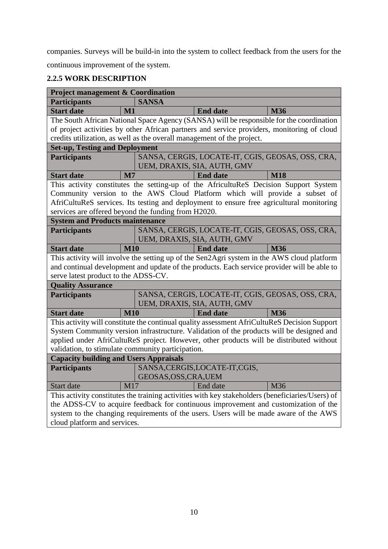companies. Surveys will be build-in into the system to collect feedback from the users for the continuous improvement of the system.

# **2.2.5 WORK DESCRIPTION**

| <b>Participants</b><br><b>SANSA</b><br><b>Start date</b><br>$\mathbf{M}1$<br><b>End date</b><br><b>M36</b><br>The South African National Space Agency (SANSA) will be responsible for the coordination<br>of project activities by other African partners and service providers, monitoring of cloud<br>credits utilization, as well as the overall management of the project.<br><b>Set-up, Testing and Deployment</b><br>SANSA, CERGIS, LOCATE-IT, CGIS, GEOSAS, OSS, CRA,<br><b>Participants</b><br>UEM, DRAXIS, SIA, AUTH, GMV<br>$\mathbf{M}$<br><b>End date</b><br><b>Start date</b><br><b>M18</b><br>This activity constitutes the setting-up of the AfricultuReS Decision Support System<br>Community version to the AWS Cloud Platform which will provide a subset of<br>AfriCultuReS services. Its testing and deployment to ensure free agricultural monitoring<br>services are offered beyond the funding from H2020.<br><b>System and Products maintenance</b><br>SANSA, CERGIS, LOCATE-IT, CGIS, GEOSAS, OSS, CRA,<br><b>Participants</b><br>UEM, DRAXIS, SIA, AUTH, GMV<br><b>M10</b><br><b>M36</b><br><b>Start date</b><br><b>End date</b><br>This activity will involve the setting up of the Sen2Agri system in the AWS cloud platform<br>and continual development and update of the products. Each service provider will be able to<br>serve latest product to the ADSS-CV.<br><b>Quality Assurance</b><br>SANSA, CERGIS, LOCATE-IT, CGIS, GEOSAS, OSS, CRA,<br><b>Participants</b><br>UEM, DRAXIS, SIA, AUTH, GMV<br><b>M10</b><br><b>End date</b><br><b>Start date</b><br><b>M36</b><br>This activity will constitute the continual quality assessment AfriCultuReS Decision Support<br>System Community version infrastructure. Validation of the products will be designed and<br>applied under AfriCultuReS project. However, other products will be distributed without<br>validation, to stimulate community participation.<br><b>Capacity building and Users Appraisals</b><br>SANSA, CERGIS, LOCATE-IT, CGIS,<br><b>Participants</b> |  |  |  |  |  |  |  |  |
|-------------------------------------------------------------------------------------------------------------------------------------------------------------------------------------------------------------------------------------------------------------------------------------------------------------------------------------------------------------------------------------------------------------------------------------------------------------------------------------------------------------------------------------------------------------------------------------------------------------------------------------------------------------------------------------------------------------------------------------------------------------------------------------------------------------------------------------------------------------------------------------------------------------------------------------------------------------------------------------------------------------------------------------------------------------------------------------------------------------------------------------------------------------------------------------------------------------------------------------------------------------------------------------------------------------------------------------------------------------------------------------------------------------------------------------------------------------------------------------------------------------------------------------------------------------------------------------------------------------------------------------------------------------------------------------------------------------------------------------------------------------------------------------------------------------------------------------------------------------------------------------------------------------------------------------------------------------------------------------------------------------------------------------------------------------------|--|--|--|--|--|--|--|--|
|                                                                                                                                                                                                                                                                                                                                                                                                                                                                                                                                                                                                                                                                                                                                                                                                                                                                                                                                                                                                                                                                                                                                                                                                                                                                                                                                                                                                                                                                                                                                                                                                                                                                                                                                                                                                                                                                                                                                                                                                                                                                   |  |  |  |  |  |  |  |  |
|                                                                                                                                                                                                                                                                                                                                                                                                                                                                                                                                                                                                                                                                                                                                                                                                                                                                                                                                                                                                                                                                                                                                                                                                                                                                                                                                                                                                                                                                                                                                                                                                                                                                                                                                                                                                                                                                                                                                                                                                                                                                   |  |  |  |  |  |  |  |  |
|                                                                                                                                                                                                                                                                                                                                                                                                                                                                                                                                                                                                                                                                                                                                                                                                                                                                                                                                                                                                                                                                                                                                                                                                                                                                                                                                                                                                                                                                                                                                                                                                                                                                                                                                                                                                                                                                                                                                                                                                                                                                   |  |  |  |  |  |  |  |  |
|                                                                                                                                                                                                                                                                                                                                                                                                                                                                                                                                                                                                                                                                                                                                                                                                                                                                                                                                                                                                                                                                                                                                                                                                                                                                                                                                                                                                                                                                                                                                                                                                                                                                                                                                                                                                                                                                                                                                                                                                                                                                   |  |  |  |  |  |  |  |  |
|                                                                                                                                                                                                                                                                                                                                                                                                                                                                                                                                                                                                                                                                                                                                                                                                                                                                                                                                                                                                                                                                                                                                                                                                                                                                                                                                                                                                                                                                                                                                                                                                                                                                                                                                                                                                                                                                                                                                                                                                                                                                   |  |  |  |  |  |  |  |  |
|                                                                                                                                                                                                                                                                                                                                                                                                                                                                                                                                                                                                                                                                                                                                                                                                                                                                                                                                                                                                                                                                                                                                                                                                                                                                                                                                                                                                                                                                                                                                                                                                                                                                                                                                                                                                                                                                                                                                                                                                                                                                   |  |  |  |  |  |  |  |  |
|                                                                                                                                                                                                                                                                                                                                                                                                                                                                                                                                                                                                                                                                                                                                                                                                                                                                                                                                                                                                                                                                                                                                                                                                                                                                                                                                                                                                                                                                                                                                                                                                                                                                                                                                                                                                                                                                                                                                                                                                                                                                   |  |  |  |  |  |  |  |  |
|                                                                                                                                                                                                                                                                                                                                                                                                                                                                                                                                                                                                                                                                                                                                                                                                                                                                                                                                                                                                                                                                                                                                                                                                                                                                                                                                                                                                                                                                                                                                                                                                                                                                                                                                                                                                                                                                                                                                                                                                                                                                   |  |  |  |  |  |  |  |  |
|                                                                                                                                                                                                                                                                                                                                                                                                                                                                                                                                                                                                                                                                                                                                                                                                                                                                                                                                                                                                                                                                                                                                                                                                                                                                                                                                                                                                                                                                                                                                                                                                                                                                                                                                                                                                                                                                                                                                                                                                                                                                   |  |  |  |  |  |  |  |  |
|                                                                                                                                                                                                                                                                                                                                                                                                                                                                                                                                                                                                                                                                                                                                                                                                                                                                                                                                                                                                                                                                                                                                                                                                                                                                                                                                                                                                                                                                                                                                                                                                                                                                                                                                                                                                                                                                                                                                                                                                                                                                   |  |  |  |  |  |  |  |  |
|                                                                                                                                                                                                                                                                                                                                                                                                                                                                                                                                                                                                                                                                                                                                                                                                                                                                                                                                                                                                                                                                                                                                                                                                                                                                                                                                                                                                                                                                                                                                                                                                                                                                                                                                                                                                                                                                                                                                                                                                                                                                   |  |  |  |  |  |  |  |  |
|                                                                                                                                                                                                                                                                                                                                                                                                                                                                                                                                                                                                                                                                                                                                                                                                                                                                                                                                                                                                                                                                                                                                                                                                                                                                                                                                                                                                                                                                                                                                                                                                                                                                                                                                                                                                                                                                                                                                                                                                                                                                   |  |  |  |  |  |  |  |  |
|                                                                                                                                                                                                                                                                                                                                                                                                                                                                                                                                                                                                                                                                                                                                                                                                                                                                                                                                                                                                                                                                                                                                                                                                                                                                                                                                                                                                                                                                                                                                                                                                                                                                                                                                                                                                                                                                                                                                                                                                                                                                   |  |  |  |  |  |  |  |  |
|                                                                                                                                                                                                                                                                                                                                                                                                                                                                                                                                                                                                                                                                                                                                                                                                                                                                                                                                                                                                                                                                                                                                                                                                                                                                                                                                                                                                                                                                                                                                                                                                                                                                                                                                                                                                                                                                                                                                                                                                                                                                   |  |  |  |  |  |  |  |  |
|                                                                                                                                                                                                                                                                                                                                                                                                                                                                                                                                                                                                                                                                                                                                                                                                                                                                                                                                                                                                                                                                                                                                                                                                                                                                                                                                                                                                                                                                                                                                                                                                                                                                                                                                                                                                                                                                                                                                                                                                                                                                   |  |  |  |  |  |  |  |  |
|                                                                                                                                                                                                                                                                                                                                                                                                                                                                                                                                                                                                                                                                                                                                                                                                                                                                                                                                                                                                                                                                                                                                                                                                                                                                                                                                                                                                                                                                                                                                                                                                                                                                                                                                                                                                                                                                                                                                                                                                                                                                   |  |  |  |  |  |  |  |  |
|                                                                                                                                                                                                                                                                                                                                                                                                                                                                                                                                                                                                                                                                                                                                                                                                                                                                                                                                                                                                                                                                                                                                                                                                                                                                                                                                                                                                                                                                                                                                                                                                                                                                                                                                                                                                                                                                                                                                                                                                                                                                   |  |  |  |  |  |  |  |  |
|                                                                                                                                                                                                                                                                                                                                                                                                                                                                                                                                                                                                                                                                                                                                                                                                                                                                                                                                                                                                                                                                                                                                                                                                                                                                                                                                                                                                                                                                                                                                                                                                                                                                                                                                                                                                                                                                                                                                                                                                                                                                   |  |  |  |  |  |  |  |  |
|                                                                                                                                                                                                                                                                                                                                                                                                                                                                                                                                                                                                                                                                                                                                                                                                                                                                                                                                                                                                                                                                                                                                                                                                                                                                                                                                                                                                                                                                                                                                                                                                                                                                                                                                                                                                                                                                                                                                                                                                                                                                   |  |  |  |  |  |  |  |  |
|                                                                                                                                                                                                                                                                                                                                                                                                                                                                                                                                                                                                                                                                                                                                                                                                                                                                                                                                                                                                                                                                                                                                                                                                                                                                                                                                                                                                                                                                                                                                                                                                                                                                                                                                                                                                                                                                                                                                                                                                                                                                   |  |  |  |  |  |  |  |  |
|                                                                                                                                                                                                                                                                                                                                                                                                                                                                                                                                                                                                                                                                                                                                                                                                                                                                                                                                                                                                                                                                                                                                                                                                                                                                                                                                                                                                                                                                                                                                                                                                                                                                                                                                                                                                                                                                                                                                                                                                                                                                   |  |  |  |  |  |  |  |  |
|                                                                                                                                                                                                                                                                                                                                                                                                                                                                                                                                                                                                                                                                                                                                                                                                                                                                                                                                                                                                                                                                                                                                                                                                                                                                                                                                                                                                                                                                                                                                                                                                                                                                                                                                                                                                                                                                                                                                                                                                                                                                   |  |  |  |  |  |  |  |  |
|                                                                                                                                                                                                                                                                                                                                                                                                                                                                                                                                                                                                                                                                                                                                                                                                                                                                                                                                                                                                                                                                                                                                                                                                                                                                                                                                                                                                                                                                                                                                                                                                                                                                                                                                                                                                                                                                                                                                                                                                                                                                   |  |  |  |  |  |  |  |  |
|                                                                                                                                                                                                                                                                                                                                                                                                                                                                                                                                                                                                                                                                                                                                                                                                                                                                                                                                                                                                                                                                                                                                                                                                                                                                                                                                                                                                                                                                                                                                                                                                                                                                                                                                                                                                                                                                                                                                                                                                                                                                   |  |  |  |  |  |  |  |  |
|                                                                                                                                                                                                                                                                                                                                                                                                                                                                                                                                                                                                                                                                                                                                                                                                                                                                                                                                                                                                                                                                                                                                                                                                                                                                                                                                                                                                                                                                                                                                                                                                                                                                                                                                                                                                                                                                                                                                                                                                                                                                   |  |  |  |  |  |  |  |  |
|                                                                                                                                                                                                                                                                                                                                                                                                                                                                                                                                                                                                                                                                                                                                                                                                                                                                                                                                                                                                                                                                                                                                                                                                                                                                                                                                                                                                                                                                                                                                                                                                                                                                                                                                                                                                                                                                                                                                                                                                                                                                   |  |  |  |  |  |  |  |  |
|                                                                                                                                                                                                                                                                                                                                                                                                                                                                                                                                                                                                                                                                                                                                                                                                                                                                                                                                                                                                                                                                                                                                                                                                                                                                                                                                                                                                                                                                                                                                                                                                                                                                                                                                                                                                                                                                                                                                                                                                                                                                   |  |  |  |  |  |  |  |  |
|                                                                                                                                                                                                                                                                                                                                                                                                                                                                                                                                                                                                                                                                                                                                                                                                                                                                                                                                                                                                                                                                                                                                                                                                                                                                                                                                                                                                                                                                                                                                                                                                                                                                                                                                                                                                                                                                                                                                                                                                                                                                   |  |  |  |  |  |  |  |  |
|                                                                                                                                                                                                                                                                                                                                                                                                                                                                                                                                                                                                                                                                                                                                                                                                                                                                                                                                                                                                                                                                                                                                                                                                                                                                                                                                                                                                                                                                                                                                                                                                                                                                                                                                                                                                                                                                                                                                                                                                                                                                   |  |  |  |  |  |  |  |  |
|                                                                                                                                                                                                                                                                                                                                                                                                                                                                                                                                                                                                                                                                                                                                                                                                                                                                                                                                                                                                                                                                                                                                                                                                                                                                                                                                                                                                                                                                                                                                                                                                                                                                                                                                                                                                                                                                                                                                                                                                                                                                   |  |  |  |  |  |  |  |  |
| GEOSAS, OSS, CRA, UEM<br>M17<br>M36<br>Start date<br>End date                                                                                                                                                                                                                                                                                                                                                                                                                                                                                                                                                                                                                                                                                                                                                                                                                                                                                                                                                                                                                                                                                                                                                                                                                                                                                                                                                                                                                                                                                                                                                                                                                                                                                                                                                                                                                                                                                                                                                                                                     |  |  |  |  |  |  |  |  |
| This activity constitutes the training activities with key stakeholders (beneficiaries/Users) of                                                                                                                                                                                                                                                                                                                                                                                                                                                                                                                                                                                                                                                                                                                                                                                                                                                                                                                                                                                                                                                                                                                                                                                                                                                                                                                                                                                                                                                                                                                                                                                                                                                                                                                                                                                                                                                                                                                                                                  |  |  |  |  |  |  |  |  |
| the ADSS-CV to acquire feedback for continuous improvement and customization of the                                                                                                                                                                                                                                                                                                                                                                                                                                                                                                                                                                                                                                                                                                                                                                                                                                                                                                                                                                                                                                                                                                                                                                                                                                                                                                                                                                                                                                                                                                                                                                                                                                                                                                                                                                                                                                                                                                                                                                               |  |  |  |  |  |  |  |  |
| system to the changing requirements of the users. Users will be made aware of the AWS                                                                                                                                                                                                                                                                                                                                                                                                                                                                                                                                                                                                                                                                                                                                                                                                                                                                                                                                                                                                                                                                                                                                                                                                                                                                                                                                                                                                                                                                                                                                                                                                                                                                                                                                                                                                                                                                                                                                                                             |  |  |  |  |  |  |  |  |
|                                                                                                                                                                                                                                                                                                                                                                                                                                                                                                                                                                                                                                                                                                                                                                                                                                                                                                                                                                                                                                                                                                                                                                                                                                                                                                                                                                                                                                                                                                                                                                                                                                                                                                                                                                                                                                                                                                                                                                                                                                                                   |  |  |  |  |  |  |  |  |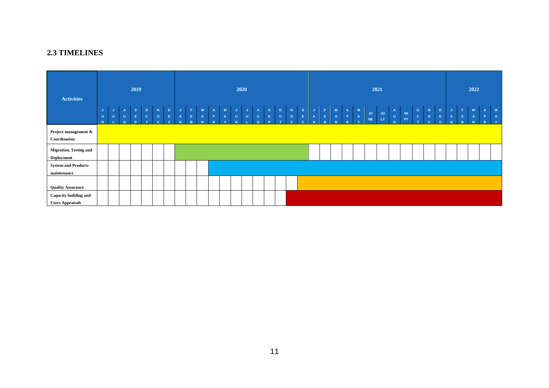## **2.3 TIMELINES**

<span id="page-11-0"></span>

| <b>Activities</b>                                  | 2019              |   |                                    |                                         |                         |                                        | 2020                                                      |                    |                       |                        |                                                   |                                              |                                   |                 | 2021                                           |                                                                                   |                                                      |                                          |                                                                        |                                                |                                                                        | 2022 |  |                                       |          |          |                                                        |                      |                                         |                        |                                                                            |                             |             |                          |                                   |                     |
|----------------------------------------------------|-------------------|---|------------------------------------|-----------------------------------------|-------------------------|----------------------------------------|-----------------------------------------------------------|--------------------|-----------------------|------------------------|---------------------------------------------------|----------------------------------------------|-----------------------------------|-----------------|------------------------------------------------|-----------------------------------------------------------------------------------|------------------------------------------------------|------------------------------------------|------------------------------------------------------------------------|------------------------------------------------|------------------------------------------------------------------------|------|--|---------------------------------------|----------|----------|--------------------------------------------------------|----------------------|-----------------------------------------|------------------------|----------------------------------------------------------------------------|-----------------------------|-------------|--------------------------|-----------------------------------|---------------------|
|                                                    | IJ<br>$\cup$<br>N | U | $\mathbf{A}$<br>$\mathbf{U}$<br>G. | $\mathbf S$<br>$\mathsf{E}$<br><b>P</b> | $\circ$<br>$\mathbf{C}$ | $\mathbf N$<br>$\circ$<br>$\mathbf{v}$ | $\mathbf{D}$<br>$\mathsf{E}^{\mathbb{C}}$<br>$\mathbf{c}$ | J.<br>$\mathbf{A}$ | / F /<br>$\mathsf{E}$ | M<br>$\mathbf{A}$<br>R | $\mathbf{A}$<br>$\langle \mathbf{P} \rangle$<br>R | $\begin{array}{c}\nM \\ A \\ V\n\end{array}$ | $\mathsf{J}$<br>$\mathbf{U}^\top$ | J.<br>$\vert$ U | $\overline{A}$<br>$\mathbf{U}$<br>$\mathbf{G}$ | $\overline{\mathbf{s}}$<br>$\mathsf{E}^{\scriptscriptstyle\perp}$<br>$\mathbf{D}$ | $\bullet$<br>$\vert \mathbf{c} \vert$<br><b>1999</b> | $\mathbf N$<br>$\circ$<br>$\overline{M}$ | $\vert \mathbf{D} \vert$<br>$\vert \mathbf{E} \vert$ .<br>$\mathbf{c}$ | $\mathbf{J}$ .<br>$\langle \mathbf{A} \rangle$ | $\begin{array}{ccc} & F & M & A \\ E & A & P \\ B & R & R \end{array}$ |      |  | $\begin{array}{c} M \\ A \end{array}$ | JU<br>NE | JU<br>LY | $\begin{bmatrix} 1 \\ 0 \end{bmatrix}$<br>$\mathbf{G}$ | $\mathsf{SE}$<br>PT. | $\circ$<br>$\mathbf{c}$<br>$\mathbf{r}$ | $\mathbf N$<br>$\circ$ | $\mathbf D$<br>$\mathsf{E}^{\scriptscriptstyle\mathsf{H}}$<br>$\mathbf{c}$ | $\mathsf J$<br>$\mathbf{A}$ | F<br>B<br>B | $\blacksquare$<br>A<br>R | A<br>$\mathbf{P}$<br>$\mathbb{R}$ | M<br>$\overline{A}$ |
| Project management &<br>Coordination               |                   |   |                                    |                                         |                         |                                        |                                                           |                    |                       |                        |                                                   |                                              |                                   |                 |                                                |                                                                                   |                                                      |                                          |                                                                        |                                                |                                                                        |      |  |                                       |          |          |                                                        |                      |                                         |                        |                                                                            |                             |             |                          |                                   |                     |
| <b>Migration, Testing and</b><br><b>Deployment</b> |                   |   |                                    |                                         |                         |                                        |                                                           |                    |                       |                        |                                                   |                                              |                                   |                 |                                                |                                                                                   |                                                      |                                          |                                                                        |                                                |                                                                        |      |  |                                       |          |          |                                                        |                      |                                         |                        |                                                                            |                             |             |                          |                                   |                     |
| <b>System and Products</b><br>maintenance          |                   |   |                                    |                                         |                         |                                        |                                                           |                    |                       |                        |                                                   |                                              |                                   |                 |                                                |                                                                                   |                                                      |                                          |                                                                        |                                                |                                                                        |      |  |                                       |          |          |                                                        |                      |                                         |                        |                                                                            |                             |             |                          |                                   |                     |
| <b>Quality Assurance</b>                           |                   |   |                                    |                                         |                         |                                        |                                                           |                    |                       |                        |                                                   |                                              |                                   |                 |                                                |                                                                                   |                                                      |                                          |                                                                        |                                                |                                                                        |      |  |                                       |          |          |                                                        |                      |                                         |                        |                                                                            |                             |             |                          |                                   |                     |
| Capacity building and<br><b>Users Appraisals</b>   |                   |   |                                    |                                         |                         |                                        |                                                           |                    |                       |                        |                                                   |                                              |                                   |                 |                                                |                                                                                   |                                                      |                                          |                                                                        |                                                |                                                                        |      |  |                                       |          |          |                                                        |                      |                                         |                        |                                                                            |                             |             |                          |                                   |                     |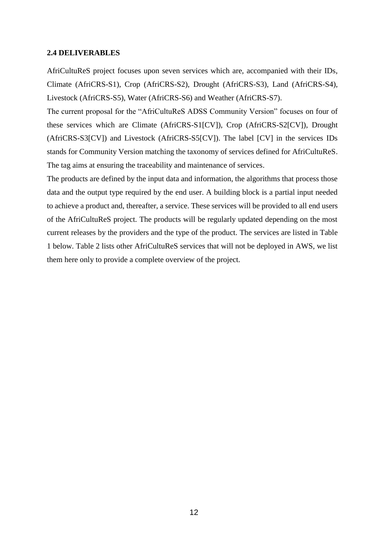### <span id="page-12-0"></span>**2.4 DELIVERABLES**

AfriCultuReS project focuses upon seven services which are, accompanied with their IDs, Climate (AfriCRS-S1), Crop (AfriCRS-S2), Drought (AfriCRS-S3), Land (AfriCRS-S4), Livestock (AfriCRS-S5), Water (AfriCRS-S6) and Weather (AfriCRS-S7).

The current proposal for the "AfriCultuReS ADSS Community Version" focuses on four of these services which are Climate (AfriCRS-S1[CV]), Crop (AfriCRS-S2[CV]), Drought (AfriCRS-S3[CV]) and Livestock (AfriCRS-S5[CV]). The label [CV] in the services IDs stands for Community Version matching the taxonomy of services defined for AfriCultuReS. The tag aims at ensuring the traceability and maintenance of services.

The products are defined by the input data and information, the algorithms that process those data and the output type required by the end user. A building block is a partial input needed to achieve a product and, thereafter, a service. These services will be provided to all end users of the AfriCultuReS project. The products will be regularly updated depending on the most current releases by the providers and the type of the product. The services are listed in Table 1 below. Table 2 lists other AfriCultuReS services that will not be deployed in AWS, we list them here only to provide a complete overview of the project.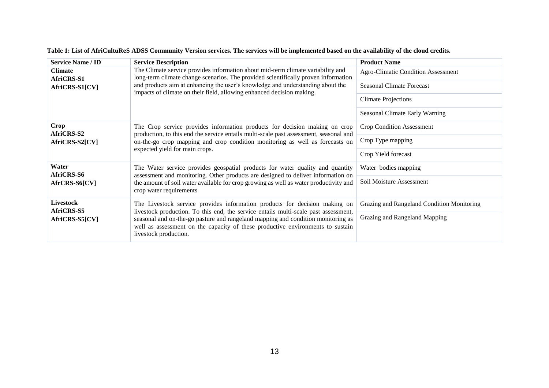| <b>Service Name / ID</b>            | <b>Service Description</b>                                                                                                                                                                                                                                                         | <b>Product Name</b>                        |  |  |  |  |
|-------------------------------------|------------------------------------------------------------------------------------------------------------------------------------------------------------------------------------------------------------------------------------------------------------------------------------|--------------------------------------------|--|--|--|--|
| <b>Climate</b>                      | The Climate service provides information about mid-term climate variability and<br>long-term climate change scenarios. The provided scientifically proven information                                                                                                              | <b>Agro-Climatic Condition Assessment</b>  |  |  |  |  |
| <b>AfriCRS-S1</b><br>AfriCRS-S1[CV] | and products aim at enhancing the user's knowledge and understanding about the<br>impacts of climate on their field, allowing enhanced decision making.                                                                                                                            | <b>Seasonal Climate Forecast</b>           |  |  |  |  |
|                                     |                                                                                                                                                                                                                                                                                    | <b>Climate Projections</b>                 |  |  |  |  |
|                                     |                                                                                                                                                                                                                                                                                    | Seasonal Climate Early Warning             |  |  |  |  |
| <b>Crop</b><br><b>AfriCRS-S2</b>    | The Crop service provides information products for decision making on crop<br>production, to this end the service entails multi-scale past assessment, seasonal and                                                                                                                | <b>Crop Condition Assessment</b>           |  |  |  |  |
| AfriCRS-S2[CV]                      | on-the-go crop mapping and crop condition monitoring as well as forecasts on                                                                                                                                                                                                       | Crop Type mapping                          |  |  |  |  |
|                                     | expected yield for main crops.                                                                                                                                                                                                                                                     | Crop Yield forecast                        |  |  |  |  |
| Water<br>AfriCRS-S6                 | The Water service provides geospatial products for water quality and quantity<br>assessment and monitoring. Other products are designed to deliver information on                                                                                                                  | Water bodies mapping                       |  |  |  |  |
| AfrCRS-S6[CV]                       | the amount of soil water available for crop growing as well as water productivity and<br>crop water requirements                                                                                                                                                                   | Soil Moisture Assessment                   |  |  |  |  |
| <b>Livestock</b><br>AfriCRS-S5      | The Livestock service provides information products for decision making on                                                                                                                                                                                                         | Grazing and Rangeland Condition Monitoring |  |  |  |  |
| AfriCRS-S5[CV]                      | livestock production. To this end, the service entails multi-scale past assessment,<br>seasonal and on-the-go pasture and rangeland mapping and condition monitoring as<br>well as assessment on the capacity of these productive environments to sustain<br>livestock production. | Grazing and Rangeland Mapping              |  |  |  |  |

**Table 1: List of AfriCultuReS ADSS Community Version services. The services will be implemented based on the availability of the cloud credits.**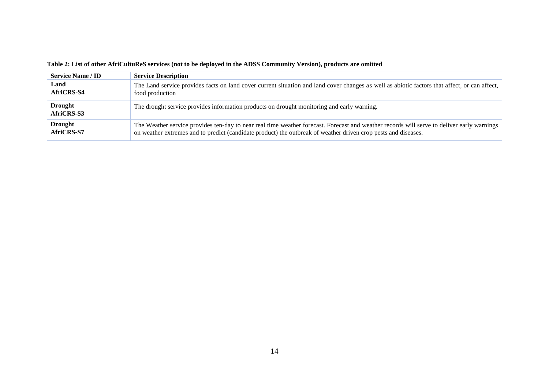| <b>Service Name / ID</b>     | <b>Service Description</b>                                                                                                                    |
|------------------------------|-----------------------------------------------------------------------------------------------------------------------------------------------|
| Land                         | The Land service provides facts on land cover current situation and land cover changes as well as abiotic factors that affect, or can affect, |
| AfriCRS-S4                   | food production                                                                                                                               |
| <b>Drought</b><br>AfriCRS-S3 | The drought service provides information products on drought monitoring and early warning.                                                    |
| <b>Drought</b>               | The Weather service provides ten-day to near real time weather forecast. Forecast and weather records will serve to deliver early warnings    |
| AfriCRS-S7                   | on weather extremes and to predict (candidate product) the outbreak of weather driven crop pests and diseases.                                |

### **Table 2: List of other AfriCultuReS services (not to be deployed in the ADSS Community Version), products are omitted**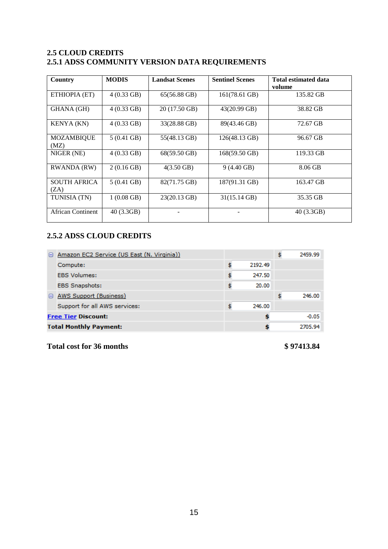## <span id="page-15-0"></span>**2.5 CLOUD CREDITS 2.5.1 ADSS COMMUNITY VERSION DATA REQUIREMENTS**

| Country                     | <b>MODIS</b>         | <b>Landsat Scenes</b> | <b>Sentinel Scenes</b> | <b>Total estimated data</b> |
|-----------------------------|----------------------|-----------------------|------------------------|-----------------------------|
|                             |                      |                       |                        | volume                      |
| ETHIOPIA (ET)               | $4(0.33 \text{ GB})$ | 65(56.88 GB)          | 161(78.61 GB)          | 135.82 GB                   |
| <b>GHANA</b> (GH)           | $4(0.33 \text{ GB})$ | 20 (17.50 GB)         | 43(20.99 GB)           | 38.82 GB                    |
| <b>KENYA</b> (KN)           | $4(0.33 \text{ GB})$ | 33(28.88 GB)          | 89(43.46 GB)           | 72.67 GB                    |
| MOZAMBIQUE<br>(MZ)          | $5(0.41 \text{ GB})$ | 55(48.13 GB)          | 126(48.13 GB)          | 96.67 GB                    |
| NIGER (NE)                  | $4(0.33 \text{ GB})$ | 68(59.50 GB)          | 168(59.50 GB)          | 119.33 GB                   |
| RWANDA (RW)                 | $2(0.16$ GB)         | $4(3.50 \text{ GB})$  | $9(4.40 \text{ GB})$   | 8.06 GB                     |
| <b>SOUTH AFRICA</b><br>(ZA) | $5(0.41 \text{ GB})$ | 82(71.75 GB)          | 187(91.31 GB)          | 163.47 GB                   |
| TUNISIA (TN)                | $1(0.08 \text{ GB})$ | 23(20.13 GB)          | 31(15.14 GB)           | 35.35 GB                    |
| African Continent           | 40(3.3GB)            |                       |                        | 40(3.3GB)                   |

# **2.5.2 ADSS CLOUD CREDITS**

| $\Box$ | Amazon EC2 Service (US East (N. Virginia)) |        |         | 2459.99 |
|--------|--------------------------------------------|--------|---------|---------|
|        | Compute:                                   |        | 2192.49 |         |
|        | <b>EBS Volumes:</b>                        |        | 247.50  |         |
|        | <b>EBS Snapshots:</b>                      |        | 20.00   |         |
| Θ      | AWS Support (Business)                     |        |         | 246.00  |
|        | Support for all AWS services:              | 246.00 |         |         |
|        | <b>Free Tier Discount:</b>                 |        |         | $-0.05$ |
|        | <b>Total Monthly Payment:</b>              |        |         | 2705.94 |

# **Total cost for 36 months \$ 97413.84**